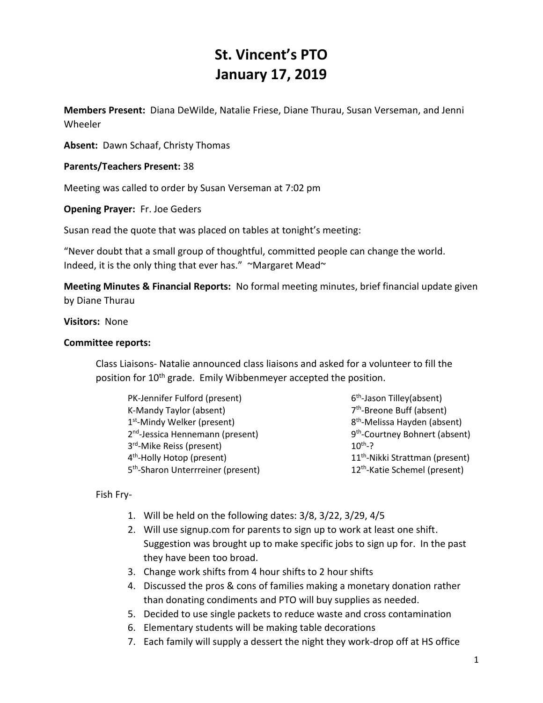# **St. Vincent's PTO January 17, 2019**

**Members Present:** Diana DeWilde, Natalie Friese, Diane Thurau, Susan Verseman, and Jenni Wheeler

**Absent:** Dawn Schaaf, Christy Thomas

**Parents/Teachers Present:** 38

Meeting was called to order by Susan Verseman at 7:02 pm

**Opening Prayer:** Fr. Joe Geders

Susan read the quote that was placed on tables at tonight's meeting:

"Never doubt that a small group of thoughtful, committed people can change the world. Indeed, it is the only thing that ever has." ~Margaret Mead~

**Meeting Minutes & Financial Reports:** No formal meeting minutes, brief financial update given by Diane Thurau

## **Visitors:** None

## **Committee reports:**

Class Liaisons- Natalie announced class liaisons and asked for a volunteer to fill the position for 10<sup>th</sup> grade. Emily Wibbenmeyer accepted the position.

| PK-Jennifer Fulford (present)                  | $6th$ -Jason            |
|------------------------------------------------|-------------------------|
| K-Mandy Taylor (absent)                        | 7 <sup>th</sup> -Breon  |
| 1 <sup>st</sup> -Mindy Welker (present)        | 8 <sup>th</sup> -Meliss |
| 2 <sup>nd</sup> -Jessica Hennemann (present)   | 9 <sup>th</sup> -Court  |
| 3 <sup>rd</sup> -Mike Reiss (present)          | $10^{th} - ?$           |
| 4 <sup>th</sup> -Holly Hotop (present)         | $11th$ -Nikk            |
| 5 <sup>th</sup> -Sharon Unterrreiner (present) | 12 <sup>th</sup> -Katie |

Tilley(absent) e Buff (absent) sa Hayden (absent) ney Bohnert (absent) i Strattman (present) e Schemel (present)

Fish Fry-

- 1. Will be held on the following dates: 3/8, 3/22, 3/29, 4/5
- 2. Will use signup.com for parents to sign up to work at least one shift. Suggestion was brought up to make specific jobs to sign up for. In the past they have been too broad.
- 3. Change work shifts from 4 hour shifts to 2 hour shifts
- 4. Discussed the pros & cons of families making a monetary donation rather than donating condiments and PTO will buy supplies as needed.
- 5. Decided to use single packets to reduce waste and cross contamination
- 6. Elementary students will be making table decorations
- 7. Each family will supply a dessert the night they work-drop off at HS office